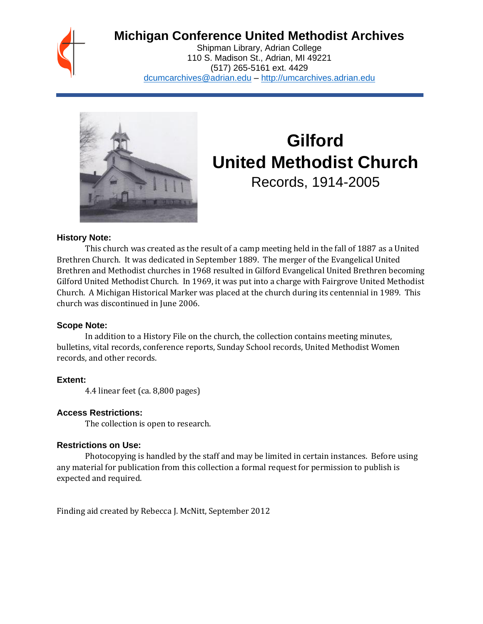## **Michigan Conference United Methodist Archives**

Shipman Library, Adrian College 110 S. Madison St., Adrian, MI 49221 (517) 265-5161 ext. 4429 [dcumcarchives@adrian.edu](mailto:dcumcarchives@adrian.edu) – [http://umcarchives.adrian.edu](http://umcarchives.adrian.edu/)



# **Gilford United Methodist Church**

Records, 1914-2005

#### **History Note:**

This church was created as the result of a camp meeting held in the fall of 1887 as a United Brethren Church. It was dedicated in September 1889. The merger of the Evangelical United Brethren and Methodist churches in 1968 resulted in Gilford Evangelical United Brethren becoming Gilford United Methodist Church. In 1969, it was put into a charge with Fairgrove United Methodist Church. A Michigan Historical Marker was placed at the church during its centennial in 1989. This church was discontinued in June 2006.

#### **Scope Note:**

In addition to a History File on the church, the collection contains meeting minutes, bulletins, vital records, conference reports, Sunday School records, United Methodist Women records, and other records.

#### **Extent:**

4.4 linear feet (ca. 8,800 pages)

#### **Access Restrictions:**

The collection is open to research.

#### **Restrictions on Use:**

Photocopying is handled by the staff and may be limited in certain instances. Before using any material for publication from this collection a formal request for permission to publish is expected and required.

Finding aid created by Rebecca J. McNitt, September 2012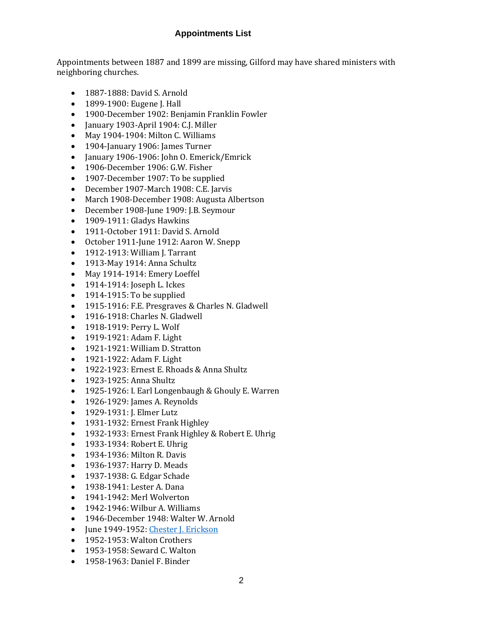#### **Appointments List**

Appointments between 1887 and 1899 are missing, Gilford may have shared ministers with neighboring churches.

- 1887-1888: David S. Arnold
- 1899-1900: Eugene J. Hall
- 1900-December 1902: Benjamin Franklin Fowler
- January 1903-April 1904: C.J. Miller
- May 1904-1904: Milton C. Williams
- 1904-January 1906: James Turner
- January 1906-1906: John O. Emerick/Emrick
- 1906-December 1906: G.W. Fisher
- 1907-December 1907: To be supplied
- December 1907-March 1908: C.E. Jarvis
- March 1908-December 1908: Augusta Albertson
- December 1908-June 1909: J.B. Seymour
- 1909-1911: Gladys Hawkins
- 1911-October 1911: David S. Arnold
- October 1911-June 1912: Aaron W. Snepp
- 1912-1913: William J. Tarrant
- 1913-May 1914: Anna Schultz
- May 1914-1914: Emery Loeffel
- 1914-1914: Joseph L. Ickes
- 1914-1915: To be supplied
- 1915-1916: F.E. Presgraves & Charles N. Gladwell
- 1916-1918: Charles N. Gladwell
- 1918-1919: Perry L. Wolf
- 1919-1921: Adam F. Light
- 1921-1921: William D. Stratton
- 1921-1922: Adam F. Light
- 1922-1923: Ernest E. Rhoads & Anna Shultz
- 1923-1925: Anna Shultz
- 1925-1926: I. Earl Longenbaugh & Ghouly E. Warren
- 1926-1929: James A. Reynolds
- 1929-1931: J. Elmer Lutz
- 1931-1932: Ernest Frank Highley
- 1932-1933: Ernest Frank Highley & Robert E. Uhrig
- 1933-1934: Robert E. Uhrig
- 1934-1936: Milton R. Davis
- 1936-1937: Harry D. Meads
- 1937-1938: G. Edgar Schade
- 1938-1941: Lester A. Dana
- 1941-1942: Merl Wolverton
- 1942-1946: Wilbur A. Williams
- 1946-December 1948: Walter W. Arnold
- June 1949-1952: [Chester J. Erickson](http://umcarchives.adrian.edu/clergy/ericksoncj.php)
- 1952-1953: Walton Crothers
- 1953-1958: Seward C. Walton
- 1958-1963: Daniel F. Binder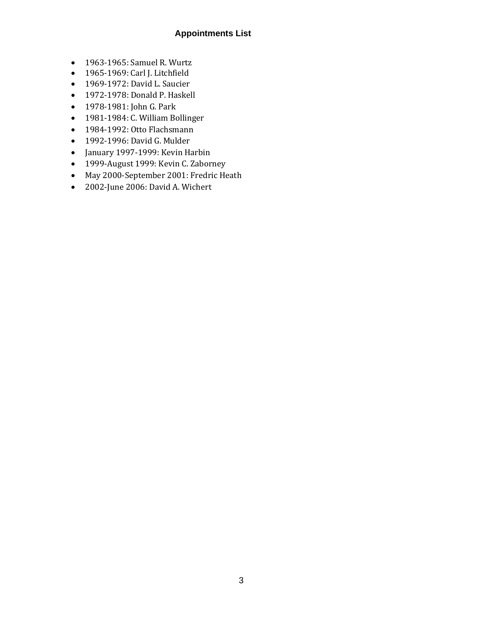#### **Appointments List**

- 1963-1965: Samuel R. Wurtz
- 1965-1969: Carl J. Litchfield
- 1969-1972: David L. Saucier
- 1972-1978: Donald P. Haskell
- 1978-1981: John G. Park
- 1981-1984: C. William Bollinger
- 1984-1992: Otto Flachsmann
- 1992-1996: David G. Mulder
- January 1997-1999: Kevin Harbin
- 1999-August 1999: Kevin C. Zaborney
- May 2000-September 2001: Fredric Heath
- 2002-June 2006: David A. Wichert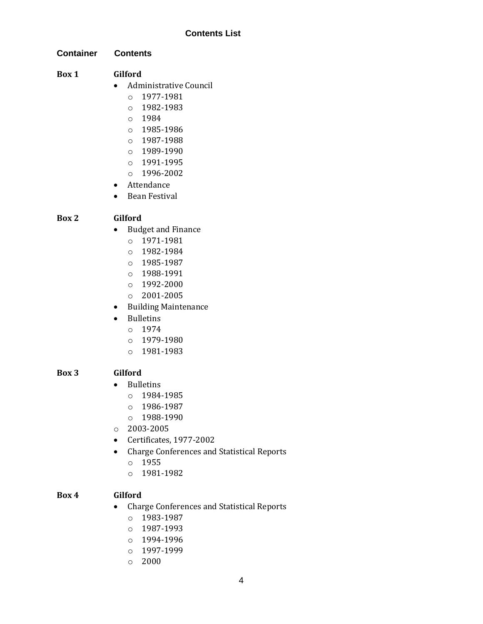**Container Contents**

#### **Box 1 Gilford**

- Administrative Council
	- o 1977-1981
	- o 1982-1983
	- o 1984
	- o 1985-1986
	- o 1987-1988
	- o 1989-1990
	- o 1991-1995
	- o 1996-2002
- Attendance
- Bean Festival

#### **Box 2 Gilford**

- Budget and Finance
	- o 1971-1981
	- o 1982-1984
	- o 1985-1987
	- o 1988-1991
	- o 1992-2000
	- o 2001-2005
- Building Maintenance
- Bulletins
	- o 1974
	- o 1979-1980
	- o 1981-1983

#### **Box 3 Gilford**

- Bulletins
	- o 1984-1985
	- o 1986-1987
	- o 1988-1990
- o 2003-2005
- Certificates, 1977-2002
- Charge Conferences and Statistical Reports
	- o 1955
	- o 1981-1982

#### **Box 4 Gilford**

- Charge Conferences and Statistical Reports
	- o 1983-1987
	- o 1987-1993
	- o 1994-1996
	- o 1997-1999
	- o 2000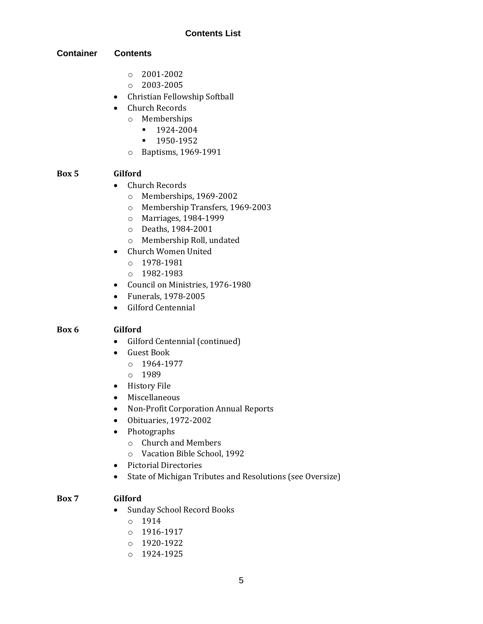#### **Container Contents**

- o 2001-2002
- o 2003-2005
- Christian Fellowship Softball
- Church Records
	- o Memberships
		- 1924-2004
		- 1950-1952
	- o Baptisms, 1969-1991

#### **Box 5 Gilford**

- Church Records
	- o Memberships, 1969-2002
	- o Membership Transfers, 1969-2003
	- o Marriages, 1984-1999
	- o Deaths, 1984-2001
	- o Membership Roll, undated
- Church Women United
	- o 1978-1981
	- o 1982-1983
- Council on Ministries, 1976-1980
- Funerals, 1978-2005
- Gilford Centennial

#### **Box 6 Gilford**

- Gilford Centennial (continued)
- Guest Book
	- o 1964-1977
	- o 1989
- History File
- Miscellaneous
- Non-Profit Corporation Annual Reports
- Obituaries, 1972-2002
- Photographs
	- o Church and Members
	- o Vacation Bible School, 1992
- Pictorial Directories
- State of Michigan Tributes and Resolutions (see Oversize)

#### **Box 7 Gilford**

- Sunday School Record Books
	- o 1914
	- o 1916-1917
	- o 1920-1922
	- o 1924-1925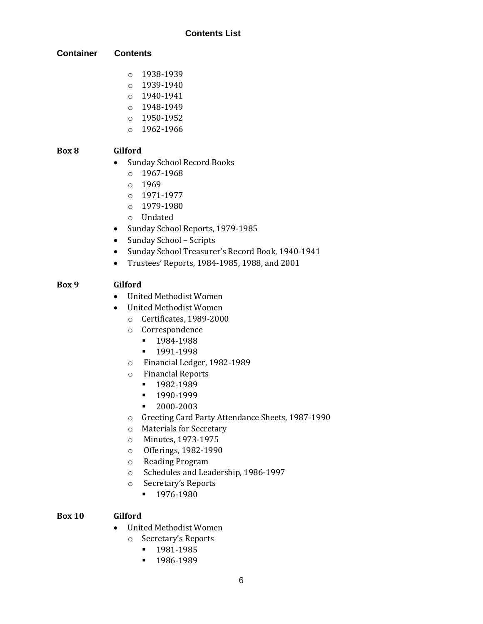#### **Container Contents**

- o 1938-1939
- o 1939-1940
- o 1940-1941
- o 1948-1949
- o 1950-1952
- o 1962-1966

### **Box 8 Gilford**

- Sunday School Record Books
	- o 1967-1968
	- o 1969
	- o 1971-1977
	- o 1979-1980
	- o Undated
- Sunday School Reports, 1979-1985
- Sunday School Scripts
- Sunday School Treasurer's Record Book, 1940-1941
- Trustees' Reports, 1984-1985, 1988, and 2001

#### **Box 9 Gilford**

- United Methodist Women
- United Methodist Women
	- o Certificates, 1989-2000
	- o Correspondence
		- 1984-1988
		- **•** 1991-1998
	- o Financial Ledger, 1982-1989
	- o Financial Reports
		- 1982-1989
		- 1990-1999
		- 2000-2003
	- o Greeting Card Party Attendance Sheets, 1987-1990
	- o Materials for Secretary
	- o Minutes, 1973-1975
	- o Offerings, 1982-1990
	- o Reading Program
	- o Schedules and Leadership, 1986-1997
	- o Secretary's Reports
		- 1976-1980

#### **Box 10 Gilford**

- United Methodist Women
	- o Secretary's Reports
		- 1981-1985
		- **■** 1986-1989